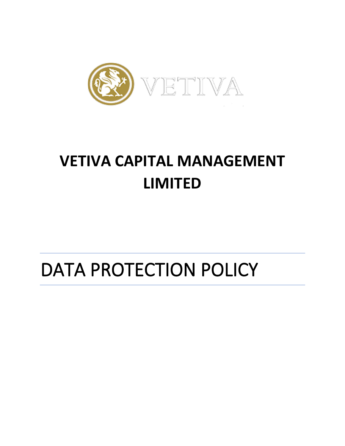

## **VETIVA CAPITAL MANAGEMENT LIMITED**

# DATA PROTECTION POLICY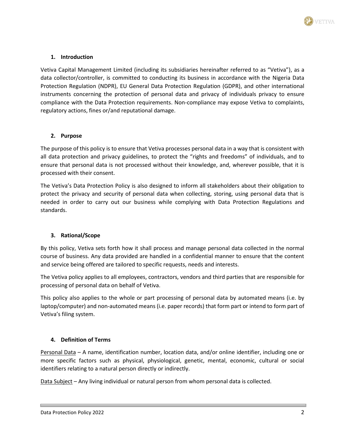

## **1. Introduction**

Vetiva Capital Management Limited (including its subsidiaries hereinafter referred to as "Vetiva"), as a data collector/controller, is committed to conducting its business in accordance with the Nigeria Data Protection Regulation (NDPR), EU General Data Protection Regulation (GDPR), and other international instruments concerning the protection of personal data and privacy of individuals privacy to ensure compliance with the Data Protection requirements. Non-compliance may expose Vetiva to complaints, regulatory actions, fines or/and reputational damage.

#### **2. Purpose**

The purpose of this policy is to ensure that Vetiva processes personal data in a way that is consistent with all data protection and privacy guidelines, to protect the "rights and freedoms" of individuals, and to ensure that personal data is not processed without their knowledge, and, wherever possible, that it is processed with their consent.

The Vetiva's Data Protection Policy is also designed to inform all stakeholders about their obligation to protect the privacy and security of personal data when collecting, storing, using personal data that is needed in order to carry out our business while complying with Data Protection Regulations and standards.

#### **3. Rational/Scope**

By this policy, Vetiva sets forth how it shall process and manage personal data collected in the normal course of business. Any data provided are handled in a confidential manner to ensure that the content and service being offered are tailored to specific requests, needs and interests.

The Vetiva policy applies to all employees, contractors, vendors and third parties that are responsible for processing of personal data on behalf of Vetiva.

This policy also applies to the whole or part processing of personal data by automated means (i.e. by laptop/computer) and non-automated means (i.e. paper records) that form part or intend to form part of Vetiva's filing system.

#### **4. Definition of Terms**

Personal Data – A name, identification number, location data, and/or online identifier, including one or more specific factors such as physical, physiological, genetic, mental, economic, cultural or social identifiers relating to a natural person directly or indirectly.

Data Subject – Any living individual or natural person from whom personal data is collected.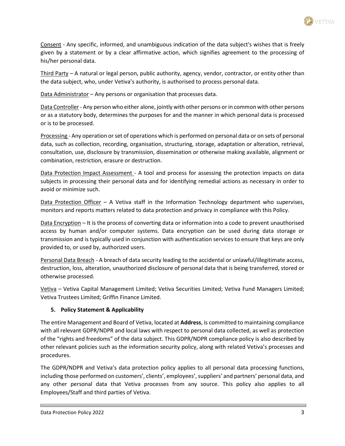

Consent - Any specific, informed, and unambiguous indication of the data subject's wishes that is freely given by a statement or by a clear affirmative action, which signifies agreement to the processing of his/her personal data.

Third Party – A natural or legal person, public authority, agency, vendor, contractor, or entity other than the data subject, who, under Vetiva's authority, is authorised to process personal data.

Data Administrator - Any persons or organisation that processes data.

Data Controller- Any person who either alone, jointly with other persons or in common with other persons or as a statutory body, determines the purposes for and the manner in which personal data is processed or is to be processed.

Processing - Any operation or set of operations which is performed on personal data or on sets of personal data, such as collection, recording, organisation, structuring, storage, adaptation or alteration, retrieval, consultation, use, disclosure by transmission, dissemination or otherwise making available, alignment or combination, restriction, erasure or destruction.

Data Protection Impact Assessment - A tool and process for assessing the protection impacts on data subjects in processing their personal data and for identifying remedial actions as necessary in order to avoid or minimize such.

Data Protection Officer – A Vetiva staff in the Information Technology department who supervises, monitors and reports matters related to data protection and privacy in compliance with this Policy.

Data Encryption – It is the process of converting data or information into a code to prevent unauthorised access by human and/or computer systems. Data encryption can be used during data storage or transmission and is typically used in conjunction with authentication services to ensure that keys are only provided to, or used by, authorized users.

Personal Data Breach - A breach of data security leading to the accidental or unlawful/illegitimate access, destruction, loss, alteration, unauthorized disclosure of personal data that is being transferred, stored or otherwise processed.

Vetiva – Vetiva Capital Management Limited; Vetiva Securities Limited; Vetiva Fund Managers Limited; Vetiva Trustees Limited; Griffin Finance Limited.

## **5. Policy Statement & Applicability**

The entire Management and Board of Vetiva, located at **Address**, is committed to maintaining compliance with all relevant GDPR/NDPR and local laws with respect to personal data collected, as well as protection of the "rights and freedoms" of the data subject. This GDPR/NDPR compliance policy is also described by other relevant policies such as the information security policy, along with related Vetiva's processes and procedures.

The GDPR/NDPR and Vetiva's data protection policy applies to all personal data processing functions, including those performed on customers', clients', employees', suppliers' and partners' personal data, and any other personal data that Vetiva processes from any source. This policy also applies to all Employees/Staff and third parties of Vetiva.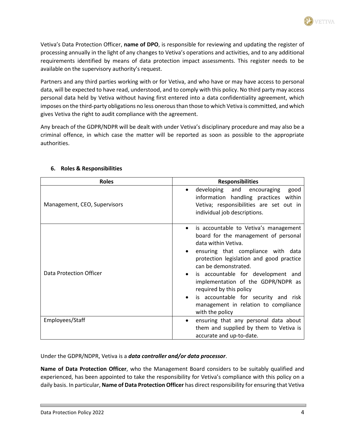Vetiva's Data Protection Officer, **name of DPO**, is responsible for reviewing and updating the register of processing annually in the light of any changes to Vetiva's operations and activities, and to any additional requirements identified by means of data protection impact assessments. This register needs to be available on the supervisory authority's request.

Partners and any third parties working with or for Vetiva, and who have or may have access to personal data, will be expected to have read, understood, and to comply with this policy. No third party may access personal data held by Vetiva without having first entered into a data confidentiality agreement, which imposes on the third-party obligations no less onerous than those to which Vetiva is committed, and which gives Vetiva the right to audit compliance with the agreement.

Any breach of the GDPR/NDPR will be dealt with under Vetiva's disciplinary procedure and may also be a criminal offence, in which case the matter will be reported as soon as possible to the appropriate authorities.

| <b>Roles</b>                 | <b>Responsibilities</b>                                                                                                                                                                                                                                                                                                                                                                                                               |
|------------------------------|---------------------------------------------------------------------------------------------------------------------------------------------------------------------------------------------------------------------------------------------------------------------------------------------------------------------------------------------------------------------------------------------------------------------------------------|
| Management, CEO, Supervisors | developing and encouraging<br>good<br>information handling practices within<br>Vetiva; responsibilities are set out in<br>individual job descriptions.                                                                                                                                                                                                                                                                                |
| Data Protection Officer      | is accountable to Vetiva's management<br>$\bullet$<br>board for the management of personal<br>data within Vetiva.<br>ensuring that compliance with data<br>protection legislation and good practice<br>can be demonstrated.<br>is accountable for development and<br>implementation of the GDPR/NDPR as<br>required by this policy<br>is accountable for security and risk<br>management in relation to compliance<br>with the policy |
| Employees/Staff              | ensuring that any personal data about<br>$\bullet$<br>them and supplied by them to Vetiva is<br>accurate and up-to-date.                                                                                                                                                                                                                                                                                                              |

## **6. Roles & Responsibilities**

Under the GDPR/NDPR, Vetiva is a *data controller and/or data processor*.

**Name of Data Protection Officer**, who the Management Board considers to be suitably qualified and experienced, has been appointed to take the responsibility for Vetiva's compliance with this policy on a daily basis. In particular, **Name of Data Protection Officer** has direct responsibility for ensuring that Vetiva **TETTVA**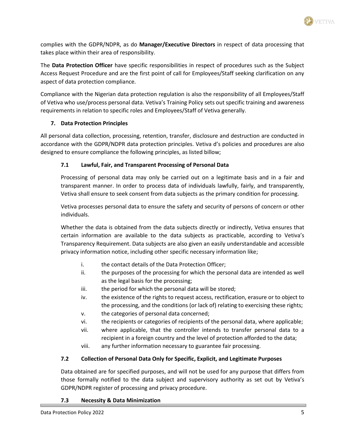

complies with the GDPR/NDPR, as do **Manager/Executive Directors** in respect of data processing that takes place within their area of responsibility.

The **Data Protection Officer** have specific responsibilities in respect of procedures such as the Subject Access Request Procedure and are the first point of call for Employees/Staff seeking clarification on any aspect of data protection compliance.

Compliance with the Nigerian data protection regulation is also the responsibility of all Employees/Staff of Vetiva who use/process personal data. Vetiva's Training Policy sets out specific training and awareness requirements in relation to specific roles and Employees/Staff of Vetiva generally.

## **7. Data Protection Principles**

All personal data collection, processing, retention, transfer, disclosure and destruction are conducted in accordance with the GDPR/NDPR data protection principles. Vetiva d's policies and procedures are also designed to ensure compliance the following principles, as listed billow;

## **7.1 Lawful, Fair, and Transparent Processing of Personal Data**

Processing of personal data may only be carried out on a legitimate basis and in a fair and transparent manner. In order to process data of individuals lawfully, fairly, and transparently, Vetiva shall ensure to seek consent from data subjects as the primary condition for processing.

Vetiva processes personal data to ensure the safety and security of persons of concern or other individuals.

Whether the data is obtained from the data subjects directly or indirectly, Vetiva ensures that certain information are available to the data subjects as practicable, according to Vetiva's Transparency Requirement. Data subjects are also given an easily understandable and accessible privacy information notice, including other specific necessary information like;

- i. the contact details of the Data Protection Officer:
- ii. the purposes of the processing for which the personal data are intended as well as the legal basis for the processing;
- iii. the period for which the personal data will be stored;
- iv. the existence of the rights to request access, rectification, erasure or to object to the processing, and the conditions (or lack of) relating to exercising these rights;
- v. the categories of personal data concerned;
- vi. the recipients or categories of recipients of the personal data, where applicable;
- vii. where applicable, that the controller intends to transfer personal data to a recipient in a foreign country and the level of protection afforded to the data;
- viii. any further information necessary to guarantee fair processing.

## **7.2 Collection of Personal Data Only for Specific, Explicit, and Legitimate Purposes**

Data obtained are for specified purposes, and will not be used for any purpose that differs from those formally notified to the data subject and supervisory authority as set out by Vetiva's GDPR/NDPR register of processing and privacy procedure.

#### **7.3 Necessity & Data Minimization**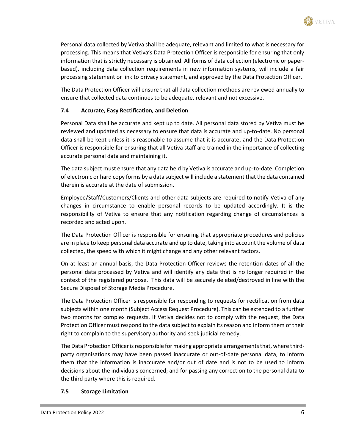

Personal data collected by Vetiva shall be adequate, relevant and limited to what is necessary for processing. This means that Vetiva's Data Protection Officer is responsible for ensuring that only information that is strictly necessary is obtained. All forms of data collection (electronic or paperbased), including data collection requirements in new information systems, will include a fair processing statement or link to privacy statement, and approved by the Data Protection Officer.

The Data Protection Officer will ensure that all data collection methods are reviewed annually to ensure that collected data continues to be adequate, relevant and not excessive.

### **7.4 Accurate, Easy Rectification, and Deletion**

Personal Data shall be accurate and kept up to date. All personal data stored by Vetiva must be reviewed and updated as necessary to ensure that data is accurate and up-to-date. No personal data shall be kept unless it is reasonable to assume that it is accurate, and the Data Protection Officer is responsible for ensuring that all Vetiva staff are trained in the importance of collecting accurate personal data and maintaining it.

The data subject must ensure that any data held by Vetiva is accurate and up-to-date. Completion of electronic or hard copy forms by a data subject will include a statement that the data contained therein is accurate at the date of submission.

Employee/Staff/Customers/Clients and other data subjects are required to notify Vetiva of any changes in circumstance to enable personal records to be updated accordingly. It is the responsibility of Vetiva to ensure that any notification regarding change of circumstances is recorded and acted upon.

The Data Protection Officer is responsible for ensuring that appropriate procedures and policies are in place to keep personal data accurate and up to date, taking into account the volume of data collected, the speed with which it might change and any other relevant factors.

On at least an annual basis, the Data Protection Officer reviews the retention dates of all the personal data processed by Vetiva and will identify any data that is no longer required in the context of the registered purpose. This data will be securely deleted/destroyed in line with the Secure Disposal of Storage Media Procedure.

The Data Protection Officer is responsible for responding to requests for rectification from data subjects within one month (Subject Access Request Procedure). This can be extended to a further two months for complex requests. If Vetiva decides not to comply with the request, the Data Protection Officer must respond to the data subject to explain its reason and inform them of their right to complain to the supervisory authority and seek judicial remedy.

The Data Protection Officer is responsible for making appropriate arrangements that, where thirdparty organisations may have been passed inaccurate or out-of-date personal data, to inform them that the information is inaccurate and/or out of date and is not to be used to inform decisions about the individuals concerned; and for passing any correction to the personal data to the third party where this is required.

#### **7.5 Storage Limitation**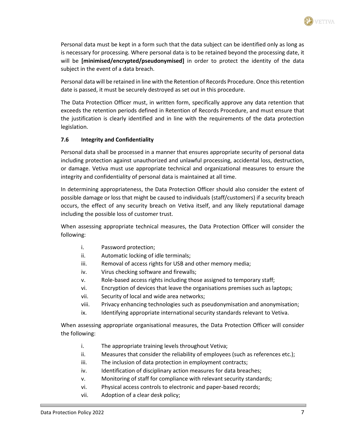

Personal data must be kept in a form such that the data subject can be identified only as long as is necessary for processing. Where personal data is to be retained beyond the processing date, it will be **[minimised/encrypted/pseudonymised]** in order to protect the identity of the data subject in the event of a data breach.

Personal data will be retained in line with the Retention of Records Procedure. Once thisretention date is passed, it must be securely destroyed as set out in this procedure.

The Data Protection Officer must, in written form, specifically approve any data retention that exceeds the retention periods defined in Retention of Records Procedure, and must ensure that the justification is clearly identified and in line with the requirements of the data protection legislation.

## **7.6 Integrity and Confidentiality**

Personal data shall be processed in a manner that ensures appropriate security of personal data including protection against unauthorized and unlawful processing, accidental loss, destruction, or damage. Vetiva must use appropriate technical and organizational measures to ensure the integrity and confidentiality of personal data is maintained at all time.

In determining appropriateness, the Data Protection Officer should also consider the extent of possible damage or loss that might be caused to individuals (staff/customers) if a security breach occurs, the effect of any security breach on Vetiva itself, and any likely reputational damage including the possible loss of customer trust.

When assessing appropriate technical measures, the Data Protection Officer will consider the following:

- i. Password protection;
- ii. Automatic locking of idle terminals;
- iii. Removal of access rights for USB and other memory media;
- iv. Virus checking software and firewalls;
- v. Role-based access rights including those assigned to temporary staff;
- vi. Encryption of devices that leave the organisations premises such as laptops;
- vii. Security of local and wide area networks;
- viii. Privacy enhancing technologies such as pseudonymisation and anonymisation;
- ix. Identifying appropriate international security standards relevant to Vetiva.

When assessing appropriate organisational measures, the Data Protection Officer will consider the following:

- i. The appropriate training levels throughout Vetiva;
- ii. Measures that consider the reliability of employees (such as references etc.);
- iii. The inclusion of data protection in employment contracts;
- iv. Identification of disciplinary action measures for data breaches;
- v. Monitoring of staff for compliance with relevant security standards;
- vi. Physical access controls to electronic and paper-based records;
- vii. Adoption of a clear desk policy;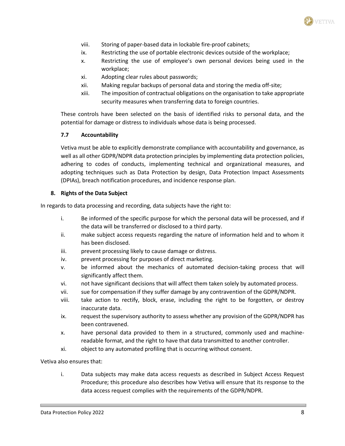

- viii. Storing of paper-based data in lockable fire-proof cabinets;
- ix. Restricting the use of portable electronic devices outside of the workplace;
- x. Restricting the use of employee's own personal devices being used in the workplace;
- xi. Adopting clear rules about passwords;
- xii. Making regular backups of personal data and storing the media off-site;
- xiii. The imposition of contractual obligations on the organisation to take appropriate security measures when transferring data to foreign countries.

These controls have been selected on the basis of identified risks to personal data, and the potential for damage or distress to individuals whose data is being processed.

#### **7.7 Accountability**

Vetiva must be able to explicitly demonstrate compliance with accountability and governance, as well as all other GDPR/NDPR data protection principles by implementing data protection policies, adhering to codes of conducts, implementing technical and organizational measures, and adopting techniques such as Data Protection by design, Data Protection Impact Assessments (DPIAs), breach notification procedures, and incidence response plan.

#### **8. Rights of the Data Subject**

In regards to data processing and recording, data subjects have the right to:

- i. Be informed of the specific purpose for which the personal data will be processed, and if the data will be transferred or disclosed to a third party.
- ii. make subject access requests regarding the nature of information held and to whom it has been disclosed.
- iii. prevent processing likely to cause damage or distress.
- iv. prevent processing for purposes of direct marketing.
- v. be informed about the mechanics of automated decision-taking process that will significantly affect them.
- vi. not have significant decisions that will affect them taken solely by automated process.
- vii. sue for compensation if they suffer damage by any contravention of the GDPR/NDPR.
- viii. take action to rectify, block, erase, including the right to be forgotten, or destroy inaccurate data.
- ix. request the supervisory authority to assess whether any provision of the GDPR/NDPR has been contravened.
- x. have personal data provided to them in a structured, commonly used and machinereadable format, and the right to have that data transmitted to another controller.
- xi. object to any automated profiling that is occurring without consent.

Vetiva also ensures that:

i. Data subjects may make data access requests as described in Subject Access Request Procedure; this procedure also describes how Vetiva will ensure that its response to the data access request complies with the requirements of the GDPR/NDPR.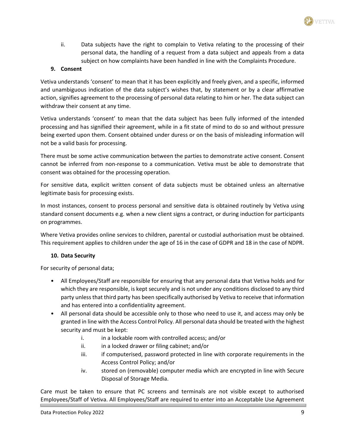ii. Data subjects have the right to complain to Vetiva relating to the processing of their personal data, the handling of a request from a data subject and appeals from a data subject on how complaints have been handled in line with the Complaints Procedure.

## **9. Consent**

Vetiva understands 'consent' to mean that it has been explicitly and freely given, and a specific, informed and unambiguous indication of the data subject's wishes that, by statement or by a clear affirmative action, signifies agreement to the processing of personal data relating to him or her. The data subject can withdraw their consent at any time.

Vetiva understands 'consent' to mean that the data subject has been fully informed of the intended processing and has signified their agreement, while in a fit state of mind to do so and without pressure being exerted upon them. Consent obtained under duress or on the basis of misleading information will not be a valid basis for processing.

There must be some active communication between the parties to demonstrate active consent. Consent cannot be inferred from non-response to a communication. Vetiva must be able to demonstrate that consent was obtained for the processing operation.

For sensitive data, explicit written consent of data subjects must be obtained unless an alternative legitimate basis for processing exists.

In most instances, consent to process personal and sensitive data is obtained routinely by Vetiva using standard consent documents e.g. when a new client signs a contract, or during induction for participants on programmes.

Where Vetiva provides online services to children, parental or custodial authorisation must be obtained. This requirement applies to children under the age of 16 in the case of GDPR and 18 in the case of NDPR.

## **10. Data Security**

For security of personal data;

- All Employees/Staff are responsible for ensuring that any personal data that Vetiva holds and for which they are responsible, is kept securely and is not under any conditions disclosed to any third party unless that third party has been specifically authorised by Vetiva to receive that information and has entered into a confidentiality agreement.
- All personal data should be accessible only to those who need to use it, and access may only be granted in line with the Access Control Policy. All personal data should be treated with the highest security and must be kept:
	- i. in a lockable room with controlled access; and/or
	- ii. in a locked drawer or filing cabinet; and/or
	- iii. if computerised, password protected in line with corporate requirements in the Access Control Policy; and/or
	- iv. stored on (removable) computer media which are encrypted in line with Secure Disposal of Storage Media.

Care must be taken to ensure that PC screens and terminals are not visible except to authorised Employees/Staff of Vetiva. All Employees/Staff are required to enter into an Acceptable Use Agreement

VETIVA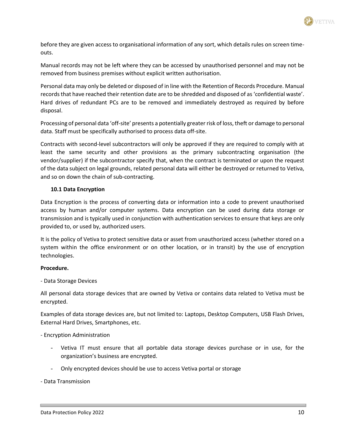

before they are given access to organisational information of any sort, which details rules on screen timeouts.

Manual records may not be left where they can be accessed by unauthorised personnel and may not be removed from business premises without explicit written authorisation.

Personal data may only be deleted or disposed of in line with the Retention of Records Procedure. Manual records that have reached their retention date are to be shredded and disposed of as 'confidential waste'. Hard drives of redundant PCs are to be removed and immediately destroyed as required by before disposal.

Processing of personal data 'off-site' presents a potentially greater risk of loss, theft or damage to personal data. Staff must be specifically authorised to process data off-site.

Contracts with second-level subcontractors will only be approved if they are required to comply with at least the same security and other provisions as the primary subcontracting organisation (the vendor/supplier) if the subcontractor specify that, when the contract is terminated or upon the request of the data subject on legal grounds, related personal data will either be destroyed or returned to Vetiva, and so on down the chain of sub-contracting.

#### **10.1 Data Encryption**

Data Encryption is the process of converting data or information into a code to prevent unauthorised access by human and/or computer systems. Data encryption can be used during data storage or transmission and is typically used in conjunction with authentication services to ensure that keys are only provided to, or used by, authorized users.

It is the policy of Vetiva to protect sensitive data or asset from unauthorized access (whether stored on a system within the office environment or on other location, or in transit) by the use of encryption technologies.

#### **Procedure.**

- Data Storage Devices

All personal data storage devices that are owned by Vetiva or contains data related to Vetiva must be encrypted.

Examples of data storage devices are, but not limited to: Laptops, Desktop Computers, USB Flash Drives, External Hard Drives, Smartphones, etc.

- Encryption Administration

- Vetiva IT must ensure that all portable data storage devices purchase or in use, for the organization's business are encrypted.
- Only encrypted devices should be use to access Vetiva portal or storage

- Data Transmission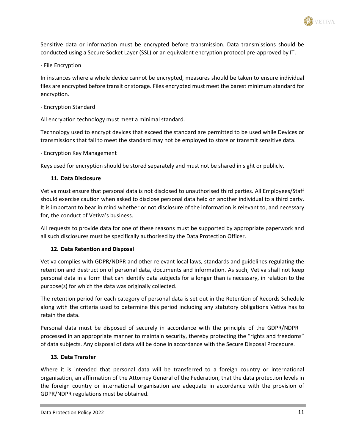Sensitive data or information must be encrypted before transmission. Data transmissions should be conducted using a Secure Socket Layer (SSL) or an equivalent encryption protocol pre-approved by IT.

- File Encryption

In instances where a whole device cannot be encrypted, measures should be taken to ensure individual files are encrypted before transit or storage. Files encrypted must meet the barest minimum standard for encryption.

- Encryption Standard

All encryption technology must meet a minimal standard.

Technology used to encrypt devices that exceed the standard are permitted to be used while Devices or transmissions that fail to meet the standard may not be employed to store or transmit sensitive data.

- Encryption Key Management

Keys used for encryption should be stored separately and must not be shared in sight or publicly.

## **11. Data Disclosure**

Vetiva must ensure that personal data is not disclosed to unauthorised third parties. All Employees/Staff should exercise caution when asked to disclose personal data held on another individual to a third party. It is important to bear in mind whether or not disclosure of the information is relevant to, and necessary for, the conduct of Vetiva's business.

All requests to provide data for one of these reasons must be supported by appropriate paperwork and all such disclosures must be specifically authorised by the Data Protection Officer.

## **12. Data Retention and Disposal**

Vetiva complies with GDPR/NDPR and other relevant local laws, standards and guidelines regulating the retention and destruction of personal data, documents and information. As such, Vetiva shall not keep personal data in a form that can identify data subjects for a longer than is necessary, in relation to the purpose(s) for which the data was originally collected.

The retention period for each category of personal data is set out in the Retention of Records Schedule along with the criteria used to determine this period including any statutory obligations Vetiva has to retain the data.

Personal data must be disposed of securely in accordance with the principle of the GDPR/NDPR – processed in an appropriate manner to maintain security, thereby protecting the "rights and freedoms" of data subjects. Any disposal of data will be done in accordance with the Secure Disposal Procedure.

## **13. Data Transfer**

Where it is intended that personal data will be transferred to a foreign country or international organisation, an affirmation of the Attorney General of the Federation, that the data protection levels in the foreign country or international organisation are adequate in accordance with the provision of GDPR/NDPR regulations must be obtained.